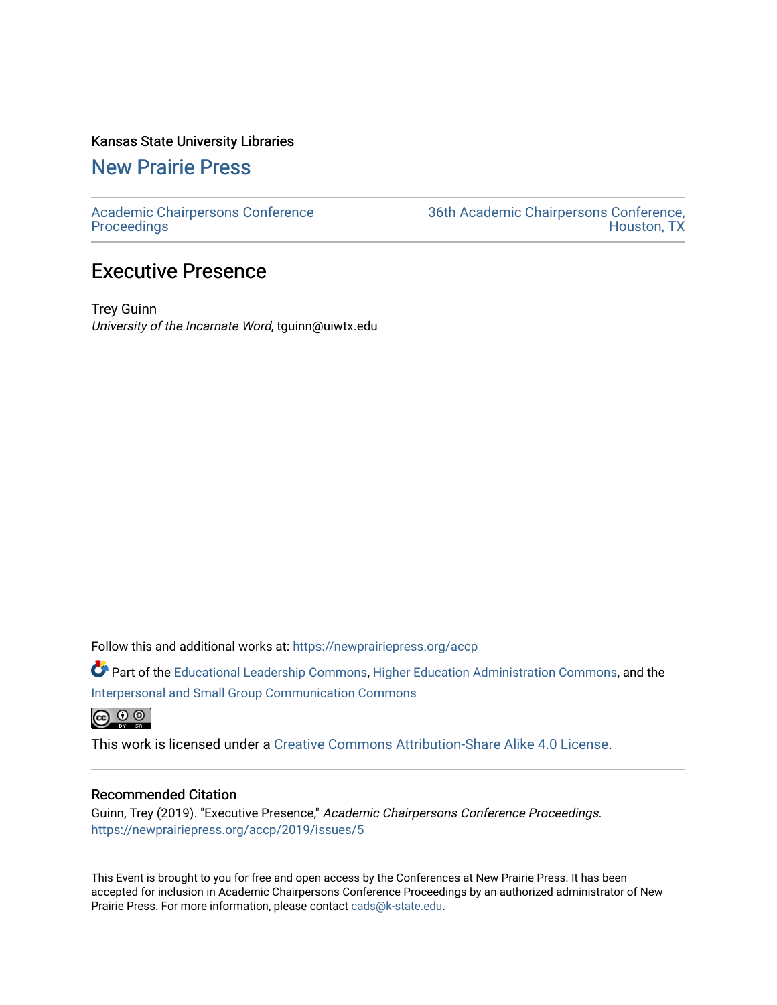## Kansas State University Libraries

[New Prairie Press](https://newprairiepress.org/) 

[Academic Chairpersons Conference](https://newprairiepress.org/accp)  **Proceedings** 

[36th Academic Chairpersons Conference,](https://newprairiepress.org/accp/2019)  [Houston, TX](https://newprairiepress.org/accp/2019) 

# Executive Presence

Trey Guinn University of the Incarnate Word, tguinn@uiwtx.edu

Follow this and additional works at: [https://newprairiepress.org/accp](https://newprairiepress.org/accp?utm_source=newprairiepress.org%2Faccp%2F2019%2Fissues%2F5&utm_medium=PDF&utm_campaign=PDFCoverPages) 

Part of the [Educational Leadership Commons,](http://network.bepress.com/hgg/discipline/1230?utm_source=newprairiepress.org%2Faccp%2F2019%2Fissues%2F5&utm_medium=PDF&utm_campaign=PDFCoverPages) [Higher Education Administration Commons,](http://network.bepress.com/hgg/discipline/791?utm_source=newprairiepress.org%2Faccp%2F2019%2Fissues%2F5&utm_medium=PDF&utm_campaign=PDFCoverPages) and the [Interpersonal and Small Group Communication Commons](http://network.bepress.com/hgg/discipline/332?utm_source=newprairiepress.org%2Faccp%2F2019%2Fissues%2F5&utm_medium=PDF&utm_campaign=PDFCoverPages) 

 $\bigcirc$   $\bigcirc$   $\bigcirc$ 

This work is licensed under a [Creative Commons Attribution-Share Alike 4.0 License.](https://creativecommons.org/licenses/by-sa/4.0/)

### Recommended Citation

Guinn, Trey (2019). "Executive Presence," Academic Chairpersons Conference Proceedings. <https://newprairiepress.org/accp/2019/issues/5>

This Event is brought to you for free and open access by the Conferences at New Prairie Press. It has been accepted for inclusion in Academic Chairpersons Conference Proceedings by an authorized administrator of New Prairie Press. For more information, please contact [cads@k-state.edu.](mailto:cads@k-state.edu)